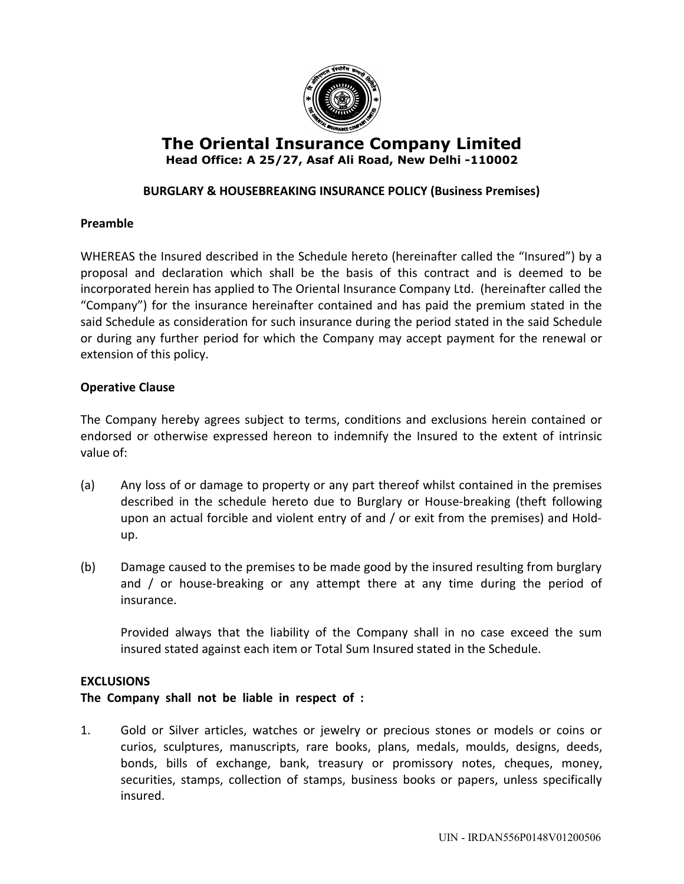

# **The Oriental Insurance Company Limited Head Office: A 25/27, Asaf Ali Road, New Delhi -110002**

# **BURGLARY & HOUSEBREAKING INSURANCE POLICY (Business Premises)**

### **Preamble**

WHEREAS the Insured described in the Schedule hereto (hereinafter called the "Insured") by a proposal and declaration which shall be the basis of this contract and is deemed to be incorporated herein has applied to The Oriental Insurance Company Ltd. (hereinafter called the "Company") for the insurance hereinafter contained and has paid the premium stated in the said Schedule as consideration for such insurance during the period stated in the said Schedule or during any further period for which the Company may accept payment for the renewal or extension of this policy.

#### **Operative Clause**

The Company hereby agrees subject to terms, conditions and exclusions herein contained or endorsed or otherwise expressed hereon to indemnify the Insured to the extent of intrinsic value of:

- (a) Any loss of or damage to property or any part thereof whilst contained in the premises described in the schedule hereto due to Burglary or House-breaking (theft following upon an actual forcible and violent entry of and / or exit from the premises) and Holdup.
- (b) Damage caused to the premises to be made good by the insured resulting from burglary and / or house-breaking or any attempt there at any time during the period of insurance.

Provided always that the liability of the Company shall in no case exceed the sum insured stated against each item or Total Sum Insured stated in the Schedule.

#### **EXCLUSIONS**

### **The Company shall not be liable in respect of :**

1. Gold or Silver articles, watches or jewelry or precious stones or models or coins or curios, sculptures, manuscripts, rare books, plans, medals, moulds, designs, deeds, bonds, bills of exchange, bank, treasury or promissory notes, cheques, money, securities, stamps, collection of stamps, business books or papers, unless specifically insured.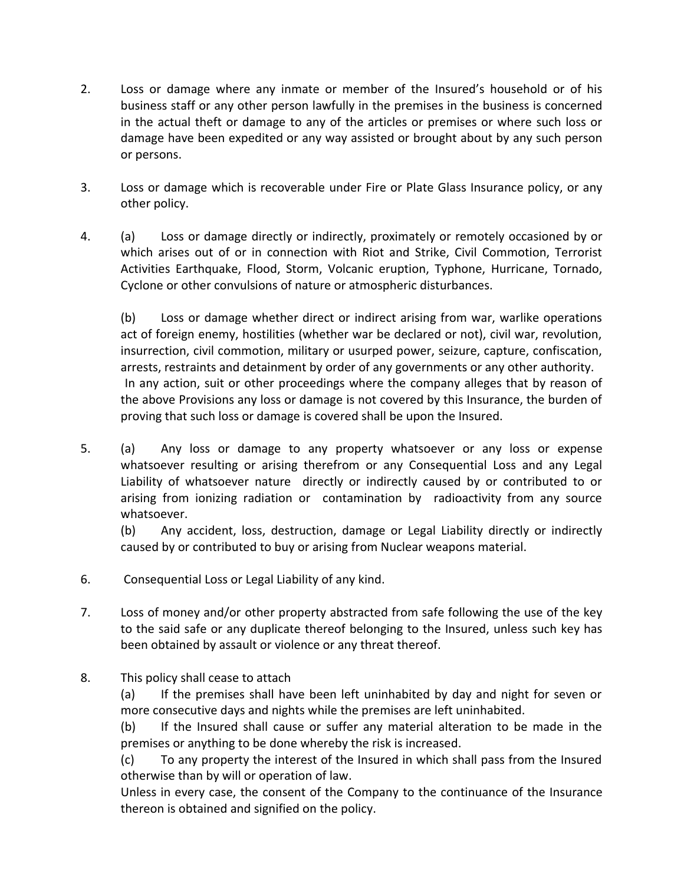- 2. Loss or damage where any inmate or member of the Insured's household or of his business staff or any other person lawfully in the premises in the business is concerned in the actual theft or damage to any of the articles or premises or where such loss or damage have been expedited or any way assisted or brought about by any such person or persons.
- 3. Loss or damage which is recoverable under Fire or Plate Glass Insurance policy, or any other policy.
- 4. (a) Loss or damage directly or indirectly, proximately or remotely occasioned by or which arises out of or in connection with Riot and Strike, Civil Commotion, Terrorist Activities Earthquake, Flood, Storm, Volcanic eruption, Typhone, Hurricane, Tornado, Cyclone or other convulsions of nature or atmospheric disturbances.

(b) Loss or damage whether direct or indirect arising from war, warlike operations act of foreign enemy, hostilities (whether war be declared or not), civil war, revolution, insurrection, civil commotion, military or usurped power, seizure, capture, confiscation, arrests, restraints and detainment by order of any governments or any other authority. In any action, suit or other proceedings where the company alleges that by reason of the above Provisions any loss or damage is not covered by this Insurance, the burden of proving that such loss or damage is covered shall be upon the Insured.

5. (a) Any loss or damage to any property whatsoever or any loss or expense whatsoever resulting or arising therefrom or any Consequential Loss and any Legal Liability of whatsoever nature directly or indirectly caused by or contributed to or arising from ionizing radiation or contamination by radioactivity from any source whatsoever.

(b) Any accident, loss, destruction, damage or Legal Liability directly or indirectly caused by or contributed to buy or arising from Nuclear weapons material.

- 6. Consequential Loss or Legal Liability of any kind.
- 7. Loss of money and/or other property abstracted from safe following the use of the key to the said safe or any duplicate thereof belonging to the Insured, unless such key has been obtained by assault or violence or any threat thereof.
- 8. This policy shall cease to attach

(a) If the premises shall have been left uninhabited by day and night for seven or more consecutive days and nights while the premises are left uninhabited.

(b) If the Insured shall cause or suffer any material alteration to be made in the premises or anything to be done whereby the risk is increased.

(c) To any property the interest of the Insured in which shall pass from the Insured otherwise than by will or operation of law.

Unless in every case, the consent of the Company to the continuance of the Insurance thereon is obtained and signified on the policy.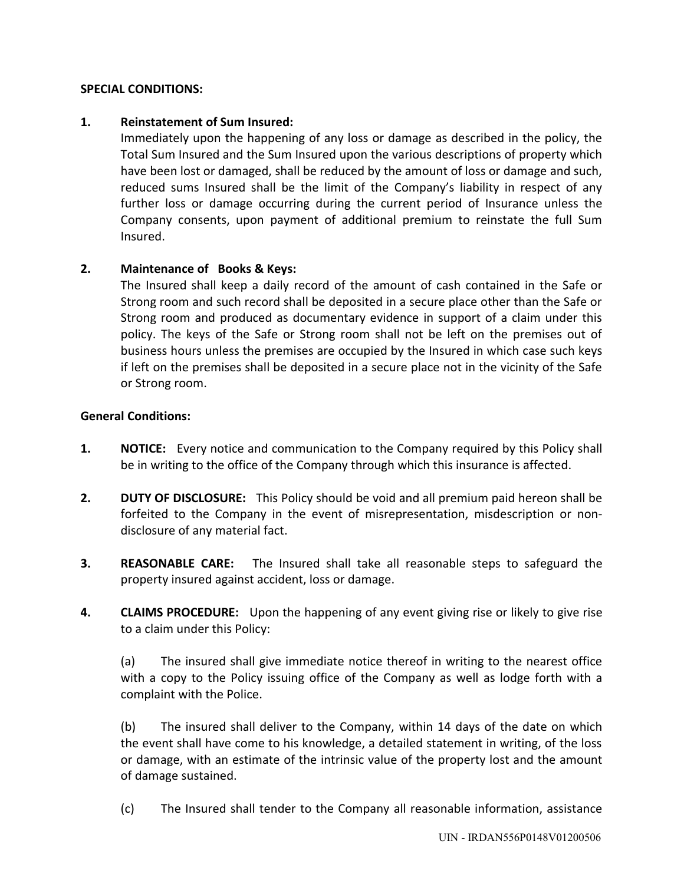## **SPECIAL CONDITIONS:**

## **1. Reinstatement of Sum Insured:**

Immediately upon the happening of any loss or damage as described in the policy, the Total Sum Insured and the Sum Insured upon the various descriptions of property which have been lost or damaged, shall be reduced by the amount of loss or damage and such, reduced sums Insured shall be the limit of the Company's liability in respect of any further loss or damage occurring during the current period of Insurance unless the Company consents, upon payment of additional premium to reinstate the full Sum Insured.

# **2. Maintenance of Books & Keys:**

The Insured shall keep a daily record of the amount of cash contained in the Safe or Strong room and such record shall be deposited in a secure place other than the Safe or Strong room and produced as documentary evidence in support of a claim under this policy. The keys of the Safe or Strong room shall not be left on the premises out of business hours unless the premises are occupied by the Insured in which case such keys if left on the premises shall be deposited in a secure place not in the vicinity of the Safe or Strong room.

### **General Conditions:**

- **1. NOTICE:** Every notice and communication to the Company required by this Policy shall be in writing to the office of the Company through which this insurance is affected.
- **2. DUTY OF DISCLOSURE:** This Policy should be void and all premium paid hereon shall be forfeited to the Company in the event of misrepresentation, misdescription or nondisclosure of any material fact.
- **3. REASONABLE CARE:** The Insured shall take all reasonable steps to safeguard the property insured against accident, loss or damage.
- **4. CLAIMS PROCEDURE:** Upon the happening of any event giving rise or likely to give rise to a claim under this Policy:

(a) The insured shall give immediate notice thereof in writing to the nearest office with a copy to the Policy issuing office of the Company as well as lodge forth with a complaint with the Police.

(b) The insured shall deliver to the Company, within 14 days of the date on which the event shall have come to his knowledge, a detailed statement in writing, of the loss or damage, with an estimate of the intrinsic value of the property lost and the amount of damage sustained.

(c) The Insured shall tender to the Company all reasonable information, assistance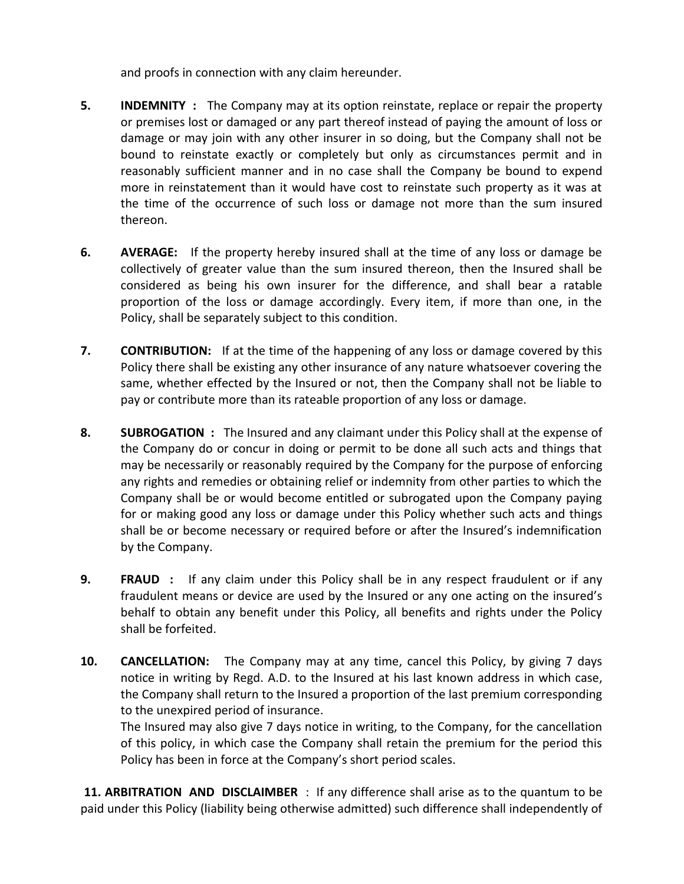and proofs in connection with any claim hereunder.

- **5. INDEMNITY :** The Company may at its option reinstate, replace or repair the property or premises lost or damaged or any part thereof instead of paying the amount of loss or damage or may join with any other insurer in so doing, but the Company shall not be bound to reinstate exactly or completely but only as circumstances permit and in reasonably sufficient manner and in no case shall the Company be bound to expend more in reinstatement than it would have cost to reinstate such property as it was at the time of the occurrence of such loss or damage not more than the sum insured thereon.
- **6. AVERAGE:** If the property hereby insured shall at the time of any loss or damage be collectively of greater value than the sum insured thereon, then the Insured shall be considered as being his own insurer for the difference, and shall bear a ratable proportion of the loss or damage accordingly. Every item, if more than one, in the Policy, shall be separately subject to this condition.
- **7. CONTRIBUTION:** If at the time of the happening of any loss or damage covered by this Policy there shall be existing any other insurance of any nature whatsoever covering the same, whether effected by the Insured or not, then the Company shall not be liable to pay or contribute more than its rateable proportion of any loss or damage.
- **8. SUBROGATION :** The Insured and any claimant under this Policy shall at the expense of the Company do or concur in doing or permit to be done all such acts and things that may be necessarily or reasonably required by the Company for the purpose of enforcing any rights and remedies or obtaining relief or indemnity from other parties to which the Company shall be or would become entitled or subrogated upon the Company paying for or making good any loss or damage under this Policy whether such acts and things shall be or become necessary or required before or after the Insured's indemnification by the Company.
- **9. FRAUD :** If any claim under this Policy shall be in any respect fraudulent or if any fraudulent means or device are used by the Insured or any one acting on the insured's behalf to obtain any benefit under this Policy, all benefits and rights under the Policy shall be forfeited.
- **10. CANCELLATION:** The Company may at any time, cancel this Policy, by giving 7 days notice in writing by Regd. A.D. to the Insured at his last known address in which case, the Company shall return to the Insured a proportion of the last premium corresponding to the unexpired period of insurance.

The Insured may also give 7 days notice in writing, to the Company, for the cancellation of this policy, in which case the Company shall retain the premium for the period this Policy has been in force at the Company's short period scales.

 **11. ARBITRATION AND DISCLAIMBER** : If any difference shall arise as to the quantum to be paid under this Policy (liability being otherwise admitted) such difference shall independently of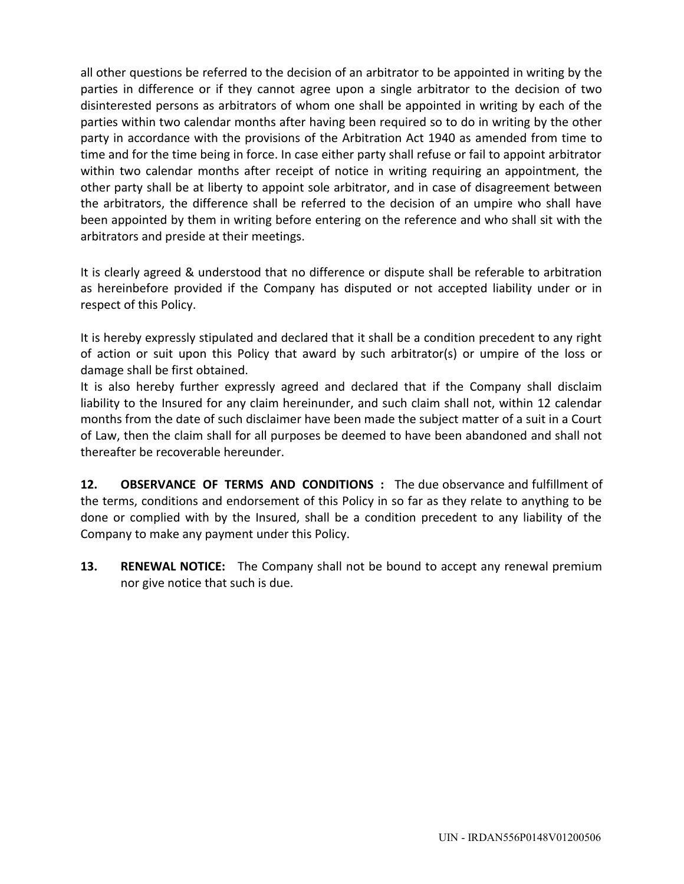all other questions be referred to the decision of an arbitrator to be appointed in writing by the parties in difference or if they cannot agree upon a single arbitrator to the decision of two disinterested persons as arbitrators of whom one shall be appointed in writing by each of the parties within two calendar months after having been required so to do in writing by the other party in accordance with the provisions of the Arbitration Act 1940 as amended from time to time and for the time being in force. In case either party shall refuse or fail to appoint arbitrator within two calendar months after receipt of notice in writing requiring an appointment, the other party shall be at liberty to appoint sole arbitrator, and in case of disagreement between the arbitrators, the difference shall be referred to the decision of an umpire who shall have been appointed by them in writing before entering on the reference and who shall sit with the arbitrators and preside at their meetings.

It is clearly agreed & understood that no difference or dispute shall be referable to arbitration as hereinbefore provided if the Company has disputed or not accepted liability under or in respect of this Policy.

It is hereby expressly stipulated and declared that it shall be a condition precedent to any right of action or suit upon this Policy that award by such arbitrator(s) or umpire of the loss or damage shall be first obtained.

It is also hereby further expressly agreed and declared that if the Company shall disclaim liability to the Insured for any claim hereinunder, and such claim shall not, within 12 calendar months from the date of such disclaimer have been made the subject matter of a suit in a Court of Law, then the claim shall for all purposes be deemed to have been abandoned and shall not thereafter be recoverable hereunder.

**12. OBSERVANCE OF TERMS AND CONDITIONS :** The due observance and fulfillment of the terms, conditions and endorsement of this Policy in so far as they relate to anything to be done or complied with by the Insured, shall be a condition precedent to any liability of the Company to make any payment under this Policy.

**13. RENEWAL NOTICE:** The Company shall not be bound to accept any renewal premium nor give notice that such is due.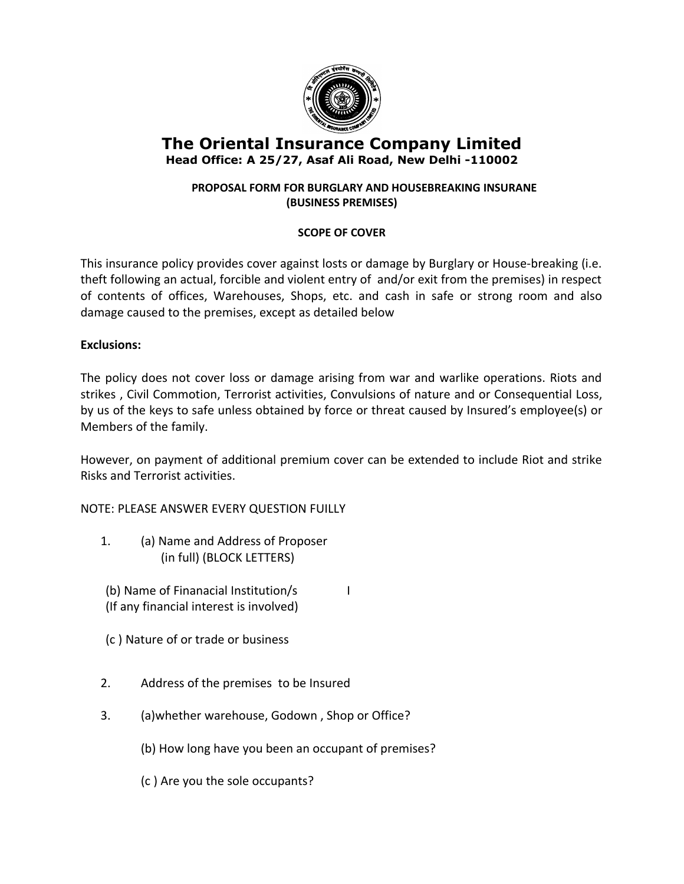

# **The Oriental Insurance Company Limited Head Office: A 25/27, Asaf Ali Road, New Delhi -110002**

# **PROPOSAL FORM FOR BURGLARY AND HOUSEBREAKING INSURANE (BUSINESS PREMISES)**

# **SCOPE OF COVER**

This insurance policy provides cover against losts or damage by Burglary or House-breaking (i.e. theft following an actual, forcible and violent entry of and/or exit from the premises) in respect of contents of offices, Warehouses, Shops, etc. and cash in safe or strong room and also damage caused to the premises, except as detailed below

# **Exclusions:**

The policy does not cover loss or damage arising from war and warlike operations. Riots and strikes , Civil Commotion, Terrorist activities, Convulsions of nature and or Consequential Loss, by us of the keys to safe unless obtained by force or threat caused by Insured's employee(s) or Members of the family.

However, on payment of additional premium cover can be extended to include Riot and strike Risks and Terrorist activities.

NOTE: PLEASE ANSWER EVERY QUESTION FUILLY

- 1. (a) Name and Address of Proposer (in full) (BLOCK LETTERS)
- (b) Name of Finanacial Institution/s (If any financial interest is involved)
- (c ) Nature of or trade or business
- 2. Address of the premises to be Insured
- 3. (a)whether warehouse, Godown , Shop or Office?
	- (b) How long have you been an occupant of premises?
	- (c ) Are you the sole occupants?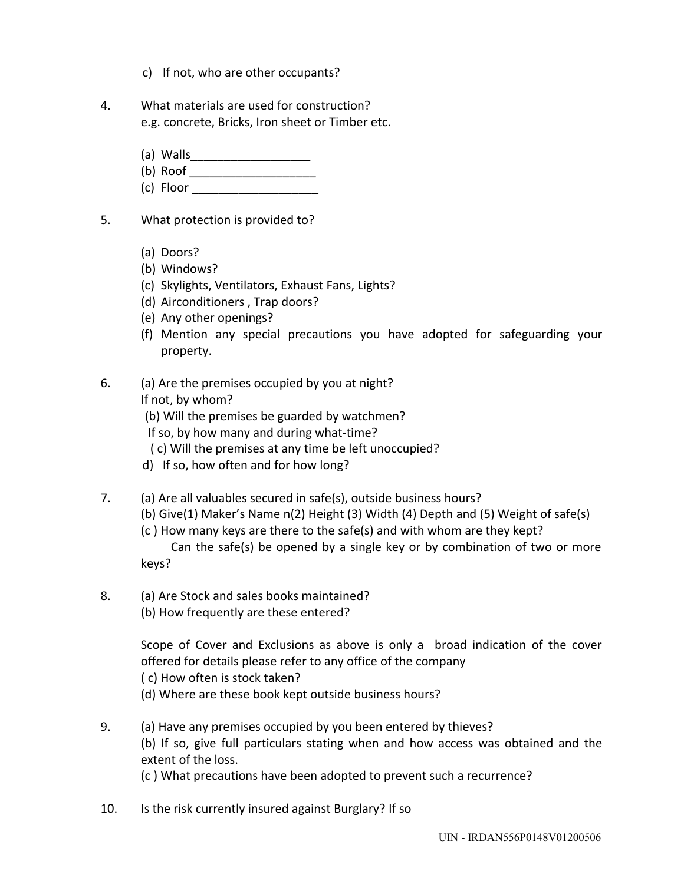- c) If not, who are other occupants?
- 4. What materials are used for construction? e.g. concrete, Bricks, Iron sheet or Timber etc.
	- (a) Walls\_\_\_\_\_\_\_\_\_\_\_\_\_\_\_\_\_\_
	- $(b)$  Roof
	- (c) Floor \_\_\_\_\_\_\_\_\_\_\_\_\_\_\_\_\_\_\_
- 5. What protection is provided to?
	- (a) Doors?
	- (b) Windows?
	- (c) Skylights, Ventilators, Exhaust Fans, Lights?
	- (d) Airconditioners , Trap doors?
	- (e) Any other openings?
	- (f) Mention any special precautions you have adopted for safeguarding your property.
- 6. (a) Are the premises occupied by you at night?
	- If not, by whom?
	- (b) Will the premises be guarded by watchmen?
	- If so, by how many and during what-time?
	- ( c) Will the premises at any time be left unoccupied?
	- d) If so, how often and for how long?
- 7. (a) Are all valuables secured in safe(s), outside business hours?
	- (b) Give(1) Maker's Name n(2) Height (3) Width (4) Depth and (5) Weight of safe(s)
	- (c ) How many keys are there to the safe(s) and with whom are they kept?
	- Can the safe(s) be opened by a single key or by combination of two or more keys?
- 8. (a) Are Stock and sales books maintained?
	- (b) How frequently are these entered?

Scope of Cover and Exclusions as above is only a broad indication of the cover offered for details please refer to any office of the company ( c) How often is stock taken?

- (d) Where are these book kept outside business hours?
- 9. (a) Have any premises occupied by you been entered by thieves? (b) If so, give full particulars stating when and how access was obtained and the extent of the loss. (c ) What precautions have been adopted to prevent such a recurrence?
- 10. Is the risk currently insured against Burglary? If so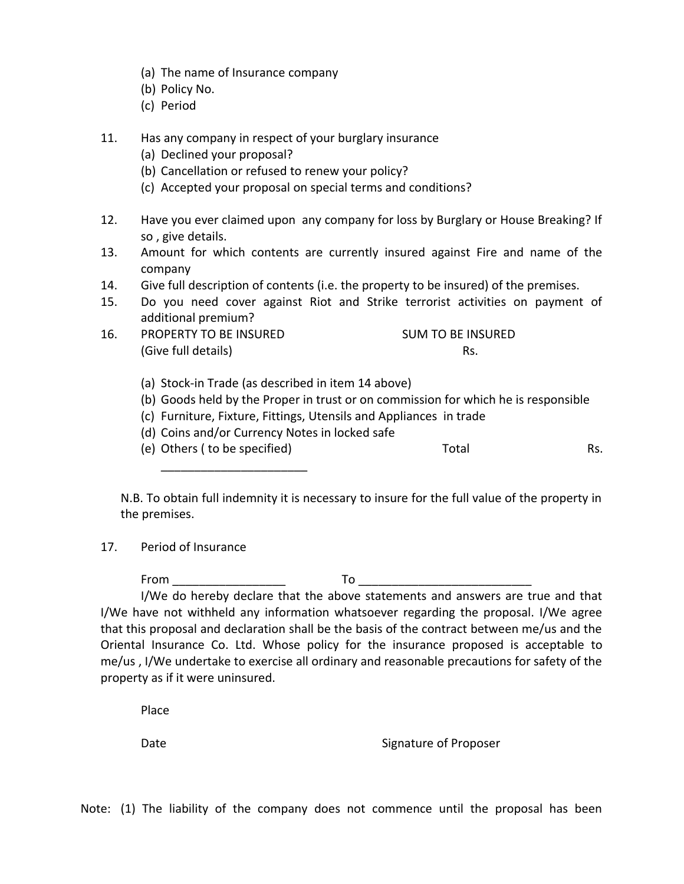- (a) The name of Insurance company
- (b) Policy No.
- (c) Period
- 11. Has any company in respect of your burglary insurance
	- (a) Declined your proposal?
	- (b) Cancellation or refused to renew your policy?
	- (c) Accepted your proposal on special terms and conditions?
- 12. Have you ever claimed upon any company for loss by Burglary or House Breaking? If so , give details.
- 13. Amount for which contents are currently insured against Fire and name of the company
- 14. Give full description of contents (i.e. the property to be insured) of the premises.
- 15. Do you need cover against Riot and Strike terrorist activities on payment of additional premium?
- 16. PROPERTY TO BE INSURED SUM TO BE INSURED (Give full details) Rs.
	-
	- (a) Stock-in Trade (as described in item 14 above)
	- (b) Goods held by the Proper in trust or on commission for which he is responsible
	- (c) Furniture, Fixture, Fittings, Utensils and Appliances in trade
	- (d) Coins and/or Currency Notes in locked safe
	- (e) Others ( to be specified) Total Total Rs.

\_\_\_\_\_\_\_\_\_\_\_\_\_\_\_\_\_\_\_\_\_\_

N.B. To obtain full indemnity it is necessary to insure for the full value of the property in the premises.

17. Period of Insurance

From To To the To the To the To the To the To the To the To the To the To the To the To the To the To the To t

I/We do hereby declare that the above statements and answers are true and that I/We have not withheld any information whatsoever regarding the proposal. I/We agree that this proposal and declaration shall be the basis of the contract between me/us and the Oriental Insurance Co. Ltd. Whose policy for the insurance proposed is acceptable to me/us , I/We undertake to exercise all ordinary and reasonable precautions for safety of the property as if it were uninsured.

Place

Date **Signature of Proposer** 

Note: (1) The liability of the company does not commence until the proposal has been